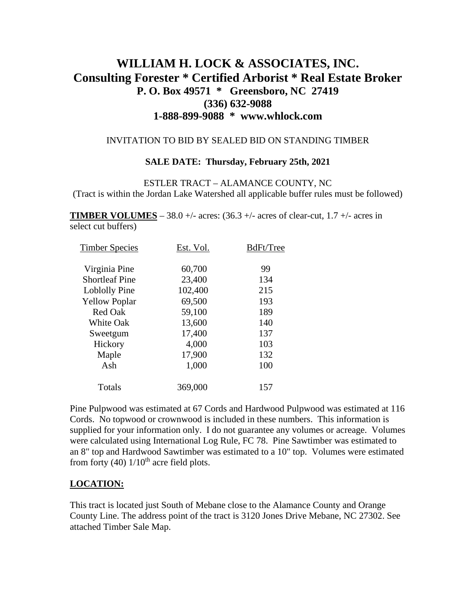# **WILLIAM H. LOCK & ASSOCIATES, INC. Consulting Forester \* Certified Arborist \* Real Estate Broker P. O. Box 49571 \* Greensboro, NC 27419 (336) 632-9088 1-888-899-9088 \* www.whlock.com**

### INVITATION TO BID BY SEALED BID ON STANDING TIMBER

#### **SALE DATE: Thursday, February 25th, 2021**

ESTLER TRACT – ALAMANCE COUNTY, NC (Tract is within the Jordan Lake Watershed all applicable buffer rules must be followed)

**TIMBER VOLUMES** – 38.0 +/- acres:  $(36.3 +/$ - acres of clear-cut,  $1.7 +/$ - acres in select cut buffers)

| 99  |
|-----|
| 134 |
| 215 |
| 193 |
| 189 |
| 140 |
| 137 |
| 103 |
| 132 |
| 100 |
| 157 |
|     |

Pine Pulpwood was estimated at 67 Cords and Hardwood Pulpwood was estimated at 116 Cords. No topwood or crownwood is included in these numbers. This information is supplied for your information only. I do not guarantee any volumes or acreage. Volumes were calculated using International Log Rule, FC 78. Pine Sawtimber was estimated to an 8" top and Hardwood Sawtimber was estimated to a 10" top. Volumes were estimated from forty (40)  $1/10^{th}$  acre field plots.

## **LOCATION:**

This tract is located just South of Mebane close to the Alamance County and Orange County Line. The address point of the tract is 3120 Jones Drive Mebane, NC 27302. See attached Timber Sale Map.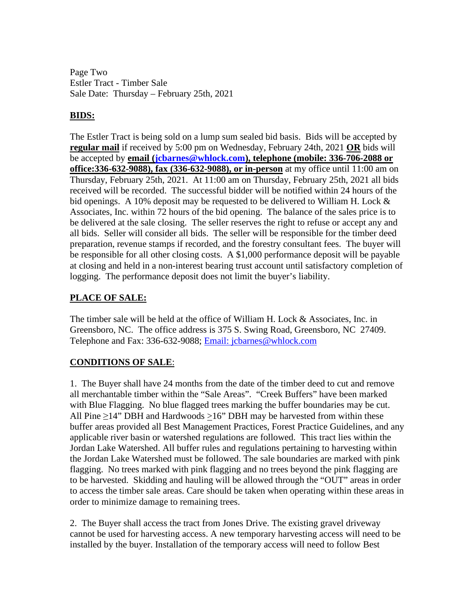Page Two Estler Tract - Timber Sale Sale Date: Thursday – February 25th, 2021

## **BIDS:**

The Estler Tract is being sold on a lump sum sealed bid basis. Bids will be accepted by **regular mail** if received by 5:00 pm on Wednesday, February 24th, 2021 **OR** bids will be accepted by **email [\(jcbarnes@whlock.com\)](mailto:jcbarnes@whlock.com), telephone (mobile: 336-706-2088 or office:336-632-9088), fax (336-632-9088), or in-person** at my office until 11:00 am on Thursday, February 25th, 2021. At 11:00 am on Thursday, February 25th, 2021 all bids received will be recorded. The successful bidder will be notified within 24 hours of the bid openings. A 10% deposit may be requested to be delivered to William H. Lock & Associates, Inc. within 72 hours of the bid opening. The balance of the sales price is to be delivered at the sale closing. The seller reserves the right to refuse or accept any and all bids. Seller will consider all bids. The seller will be responsible for the timber deed preparation, revenue stamps if recorded, and the forestry consultant fees. The buyer will be responsible for all other closing costs. A \$1,000 performance deposit will be payable at closing and held in a non-interest bearing trust account until satisfactory completion of logging. The performance deposit does not limit the buyer's liability.

## **PLACE OF SALE:**

The timber sale will be held at the office of William H. Lock & Associates, Inc. in Greensboro, NC. The office address is 375 S. Swing Road, Greensboro, NC 27409. Telephone and Fax: 336-632-9088; [Email: jcbarnes@whlock.com](mailto:Email:%20jcbarnes@whlock.com) 

# **CONDITIONS OF SALE**:

1. The Buyer shall have 24 months from the date of the timber deed to cut and remove all merchantable timber within the "Sale Areas". "Creek Buffers" have been marked with Blue Flagging. No blue flagged trees marking the buffer boundaries may be cut. All Pine  $\geq$ 14" DBH and Hardwoods  $>16$ " DBH may be harvested from within these buffer areas provided all Best Management Practices, Forest Practice Guidelines, and any applicable river basin or watershed regulations are followed. This tract lies within the Jordan Lake Watershed. All buffer rules and regulations pertaining to harvesting within the Jordan Lake Watershed must be followed. The sale boundaries are marked with pink flagging. No trees marked with pink flagging and no trees beyond the pink flagging are to be harvested. Skidding and hauling will be allowed through the "OUT" areas in order to access the timber sale areas. Care should be taken when operating within these areas in order to minimize damage to remaining trees.

2. The Buyer shall access the tract from Jones Drive. The existing gravel driveway cannot be used for harvesting access. A new temporary harvesting access will need to be installed by the buyer. Installation of the temporary access will need to follow Best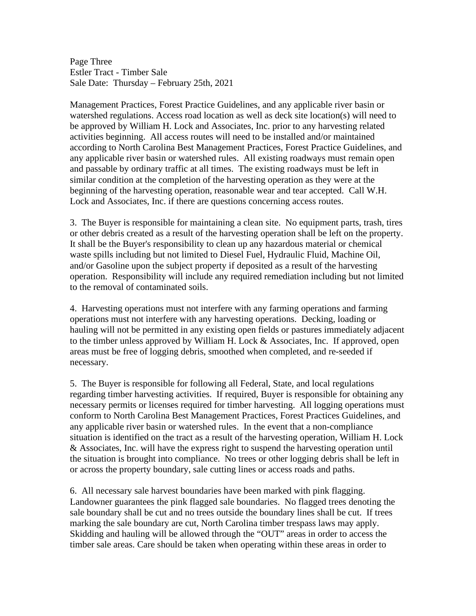Page Three Estler Tract - Timber Sale Sale Date: Thursday – February 25th, 2021

Management Practices, Forest Practice Guidelines, and any applicable river basin or watershed regulations. Access road location as well as deck site location(s) will need to be approved by William H. Lock and Associates, Inc. prior to any harvesting related activities beginning. All access routes will need to be installed and/or maintained according to North Carolina Best Management Practices, Forest Practice Guidelines, and any applicable river basin or watershed rules. All existing roadways must remain open and passable by ordinary traffic at all times. The existing roadways must be left in similar condition at the completion of the harvesting operation as they were at the beginning of the harvesting operation, reasonable wear and tear accepted. Call W.H. Lock and Associates, Inc. if there are questions concerning access routes.

3. The Buyer is responsible for maintaining a clean site. No equipment parts, trash, tires or other debris created as a result of the harvesting operation shall be left on the property. It shall be the Buyer's responsibility to clean up any hazardous material or chemical waste spills including but not limited to Diesel Fuel, Hydraulic Fluid, Machine Oil, and/or Gasoline upon the subject property if deposited as a result of the harvesting operation. Responsibility will include any required remediation including but not limited to the removal of contaminated soils.

4. Harvesting operations must not interfere with any farming operations and farming operations must not interfere with any harvesting operations. Decking, loading or hauling will not be permitted in any existing open fields or pastures immediately adjacent to the timber unless approved by William H. Lock & Associates, Inc. If approved, open areas must be free of logging debris, smoothed when completed, and re-seeded if necessary.

5. The Buyer is responsible for following all Federal, State, and local regulations regarding timber harvesting activities. If required, Buyer is responsible for obtaining any necessary permits or licenses required for timber harvesting. All logging operations must conform to North Carolina Best Management Practices, Forest Practices Guidelines, and any applicable river basin or watershed rules. In the event that a non-compliance situation is identified on the tract as a result of the harvesting operation, William H. Lock & Associates, Inc. will have the express right to suspend the harvesting operation until the situation is brought into compliance. No trees or other logging debris shall be left in or across the property boundary, sale cutting lines or access roads and paths.

6. All necessary sale harvest boundaries have been marked with pink flagging. Landowner guarantees the pink flagged sale boundaries. No flagged trees denoting the sale boundary shall be cut and no trees outside the boundary lines shall be cut. If trees marking the sale boundary are cut, North Carolina timber trespass laws may apply. Skidding and hauling will be allowed through the "OUT" areas in order to access the timber sale areas. Care should be taken when operating within these areas in order to